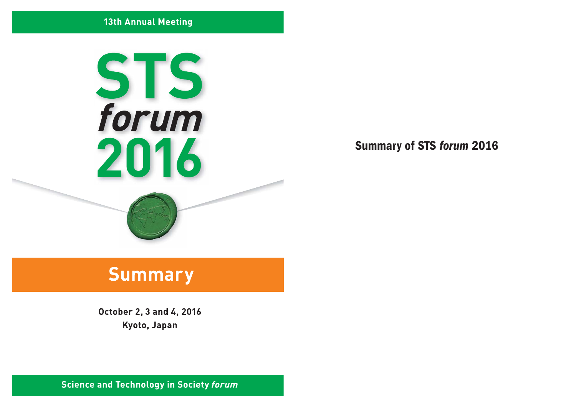## **13th Annual Meeting**



**Summary of STS forum 2016** 

# **Summary**

October 2, 3 and 4, 2016 Kyoto, Japan

**Science and Technology in Society forum**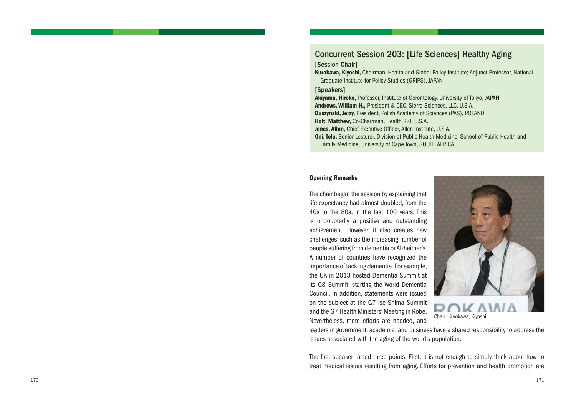## Concurrent Session 203: [Life Sciences] Healthy Aging

#### [Session Chair]

**Kurokawa, Kiyoshi,** Chairman, Health and Global Policy Institute; Adjunct Professor, National Graduate Institute for Policy Studies (GRIPS), JAPAN

#### [Speakers]

**Akiyama, Hiroko,** Professor, Institute of Gerontology, University of Tokyo, JAPAN **Andrews, William H.,** President & CEO, Sierra Sciences, LLC, U.S.A. **Duszyński, Jerzy,** President, Polish Academy of Sciences (PAS), POLAND **Holt, Matthew,** Co-Chairman, Health 2.0, U.S.A. **Jones, Allan,** Chief Executive Officer, Allen Institute, U.S.A. **Oni, Tolu,** Senior Lecturer, Division of Public Health Medicine, School of Public Health and Family Medicine, University of Cape Town, SOUTH AFRICA

### **Opening Remarks**

The chair began the session by explaining that life expectancy had almost doubled, from the 40s to the 80s, in the last 100 years. This is undoubtedly a positive and outstanding achievement. However, it also creates new challenges, such as the increasing number of people suffering from dementia or Alzheimer's. A number of countries have recognized the importance of tackling dementia. For example, the UK in 2013 hosted Dementia Summit at its G8 Summit, starting the World Dementia Council. In addition, statements were issued on the subject at the G7 Ise-Shima Summit and the G7 Health Ministers' Meeting in Kobe. Nevertheless, more efforts are needed, and



Chair: Kurokawa, Kiyoshi

leaders in government, academia, and business have a shared responsibility to address the issues associated with the aging of the world's population.

The first speaker raised three points. First, it is not enough to simply think about how to treat medical issues resulting from aging. Efforts for prevention and health promotion are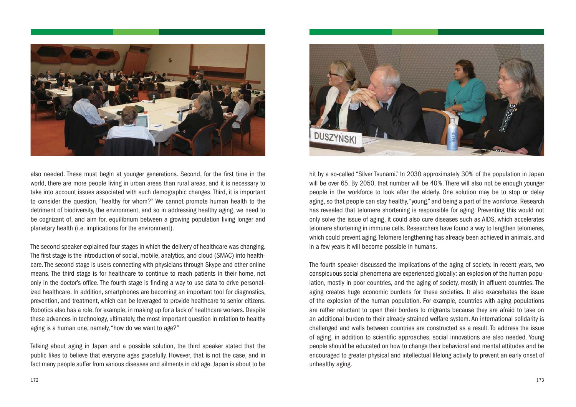

also needed. These must begin at younger generations. Second, for the first time in the world, there are more people living in urban areas than rural areas, and it is necessary to take into account issues associated with such demographic changes. Third, it is important to consider the question, "healthy for whom?" We cannot promote human health to the detriment of biodiversity, the environment, and so in addressing healthy aging, we need to be cognizant of, and aim for, equilibrium between a growing population living longer and planetary health (i.e. implications for the environment).

The second speaker explained four stages in which the delivery of healthcare was changing. The first stage is the introduction of social, mobile, analytics, and cloud (SMAC) into healthcare. The second stage is users connecting with physicians through Skype and other online means. The third stage is for healthcare to continue to reach patients in their home, not only in the doctor's office. The fourth stage is finding a way to use data to drive personalized healthcare. In addition, smartphones are becoming an important tool for diagnostics, prevention, and treatment, which can be leveraged to provide healthcare to senior citizens. Robotics also has a role, for example, in making up for a lack of healthcare workers. Despite these advances in technology, ultimately, the most important question in relation to healthy aging is a human one, namely, "how do we want to age?"

Talking about aging in Japan and a possible solution, the third speaker stated that the public likes to believe that everyone ages gracefully. However, that is not the case, and in fact many people suffer from various diseases and ailments in old age. Japan is about to be



hit by a so-called "Silver Tsunami." In 2030 approximately 30% of the population in Japan will be over 65. By 2050, that number will be 40%. There will also not be enough younger people in the workforce to look after the elderly. One solution may be to stop or delay aging, so that people can stay healthy, "young," and being a part of the workforce. Research has revealed that telomere shortening is responsible for aging. Preventing this would not only solve the issue of aging, it could also cure diseases such as AIDS, which accelerates telomere shortening in immune cells. Researchers have found a way to lengthen telomeres, which could prevent aging. Telomere lengthening has already been achieved in animals, and in a few years it will become possible in humans.

The fourth speaker discussed the implications of the aging of society. In recent years, two conspicuous social phenomena are experienced globally: an explosion of the human population, mostly in poor countries, and the aging of society, mostly in affluent countries. The aging creates huge economic burdens for these societies. It also exacerbates the issue of the explosion of the human population. For example, countries with aging populations are rather reluctant to open their borders to migrants because they are afraid to take on an additional burden to their already strained welfare system. An international solidarity is challenged and walls between countries are constructed as a result. To address the issue of aging, in addition to scientific approaches, social innovations are also needed. Young people should be educated on how to change their behavioral and mental attitudes and be encouraged to greater physical and intellectual lifelong activity to prevent an early onset of unhealthy aging.